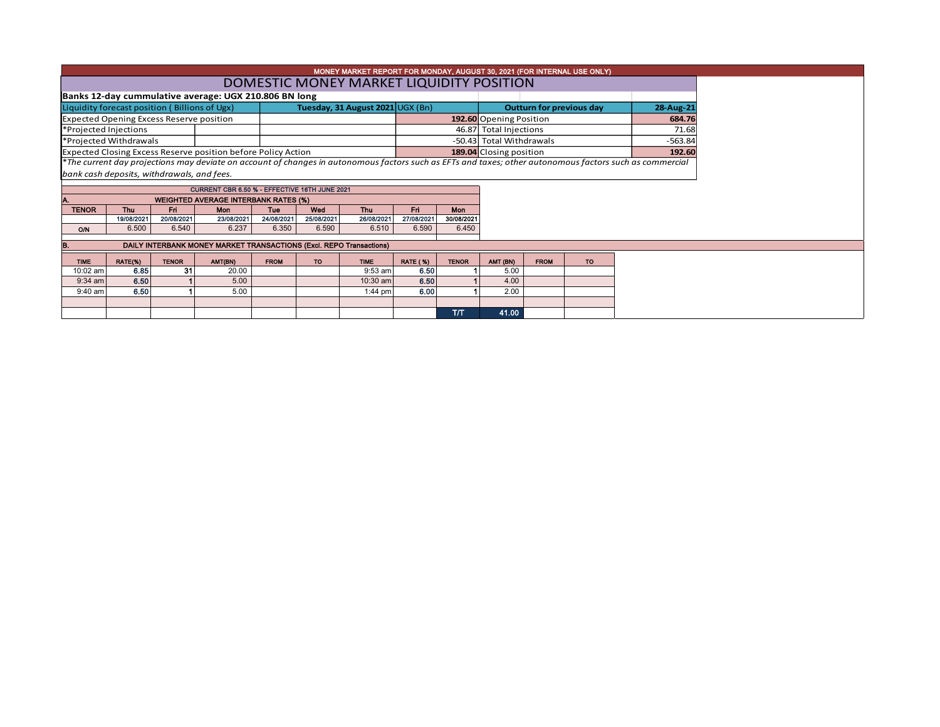|                                                                                   | MONEY MARKET REPORT FOR MONDAY, AUGUST 30, 2021 (FOR INTERNAL USE ONLY) |              |                                                                     |             |            |                                          |                 |                                   |                                       |             |           |                                                                                                                                                          |  |  |
|-----------------------------------------------------------------------------------|-------------------------------------------------------------------------|--------------|---------------------------------------------------------------------|-------------|------------|------------------------------------------|-----------------|-----------------------------------|---------------------------------------|-------------|-----------|----------------------------------------------------------------------------------------------------------------------------------------------------------|--|--|
|                                                                                   |                                                                         |              |                                                                     |             |            | DOMESTIC MONEY MARKET LIQUIDITY POSITION |                 |                                   |                                       |             |           |                                                                                                                                                          |  |  |
|                                                                                   |                                                                         |              | Banks 12-day cummulative average: UGX 210.806 BN long               |             |            |                                          |                 |                                   |                                       |             |           |                                                                                                                                                          |  |  |
| Liquidity forecast position (Billions of Ugx)<br>Tuesday, 31 August 2021 UGX (Bn) |                                                                         |              |                                                                     |             |            |                                          |                 |                                   | Outturn for previous day              | 28-Aug-21   |           |                                                                                                                                                          |  |  |
| <b>Expected Opening Excess Reserve position</b>                                   |                                                                         |              |                                                                     |             |            |                                          |                 |                                   | 192.60 Opening Position<br>684.76     |             |           |                                                                                                                                                          |  |  |
| *Projected Injections                                                             |                                                                         |              |                                                                     |             |            |                                          |                 |                                   | 46.87 Total Injections<br>71.68       |             |           |                                                                                                                                                          |  |  |
| *Projected Withdrawals                                                            |                                                                         |              |                                                                     |             |            |                                          |                 |                                   | -50.43 Total Withdrawals<br>$-563.84$ |             |           |                                                                                                                                                          |  |  |
| Expected Closing Excess Reserve position before Policy Action                     |                                                                         |              |                                                                     |             |            |                                          |                 | 189.04 Closing position<br>192.60 |                                       |             |           |                                                                                                                                                          |  |  |
|                                                                                   |                                                                         |              |                                                                     |             |            |                                          |                 |                                   |                                       |             |           | *The current day projections may deviate on account of changes in autonomous factors such as EFTs and taxes; other autonomous factors such as commercial |  |  |
| bank cash deposits, withdrawals, and fees.                                        |                                                                         |              |                                                                     |             |            |                                          |                 |                                   |                                       |             |           |                                                                                                                                                          |  |  |
| CURRENT CBR 6.50 % - EFFECTIVE 16TH JUNE 2021                                     |                                                                         |              |                                                                     |             |            |                                          |                 |                                   |                                       |             |           |                                                                                                                                                          |  |  |
|                                                                                   |                                                                         |              | <b>WEIGHTED AVERAGE INTERBANK RATES (%)</b>                         |             |            |                                          |                 |                                   |                                       |             |           |                                                                                                                                                          |  |  |
| <b>TENOR</b>                                                                      | <b>Thu</b>                                                              | Fri          | <b>Mon</b>                                                          | Tue         | Wed        | <b>Thu</b>                               | Fri.            | <b>Mon</b>                        |                                       |             |           |                                                                                                                                                          |  |  |
|                                                                                   | 19/08/2021                                                              | 20/08/2021   | 23/08/2021                                                          | 24/08/2021  | 25/08/2021 | 26/08/2021                               | 27/08/2021      | 30/08/2021                        |                                       |             |           |                                                                                                                                                          |  |  |
| <b>O/N</b>                                                                        | 6.500                                                                   | 6.540        | 6.237                                                               | 6.350       | 6.590      | 6.510                                    | 6.590           | 6.450                             |                                       |             |           |                                                                                                                                                          |  |  |
| B.                                                                                |                                                                         |              | DAILY INTERBANK MONEY MARKET TRANSACTIONS (Excl. REPO Transactions) |             |            |                                          |                 |                                   |                                       |             |           |                                                                                                                                                          |  |  |
|                                                                                   |                                                                         |              |                                                                     |             |            |                                          |                 |                                   |                                       |             |           |                                                                                                                                                          |  |  |
| <b>TIME</b>                                                                       | RATE(%)                                                                 | <b>TENOR</b> | AMT(BN)                                                             | <b>FROM</b> | <b>TO</b>  | <b>TIME</b>                              | <b>RATE (%)</b> | <b>TENOR</b>                      | AMT (BN)                              | <b>FROM</b> | <b>TO</b> |                                                                                                                                                          |  |  |
| 10:02 am                                                                          | 6.85                                                                    | 31           | 20.00                                                               |             |            | $9:53$ am                                | 6.50            |                                   | 5.00                                  |             |           |                                                                                                                                                          |  |  |
| $9:34$ am                                                                         | 6.50                                                                    |              | 5.00                                                                |             |            | 10:30 am                                 | 6.50            |                                   | 4.00                                  |             |           |                                                                                                                                                          |  |  |
| $9:40$ am                                                                         | 6.50                                                                    |              | 5.00                                                                |             |            | $1:44$ pm                                | 6.00            |                                   | 2.00                                  |             |           |                                                                                                                                                          |  |  |
|                                                                                   |                                                                         |              |                                                                     |             |            |                                          |                 |                                   |                                       |             |           |                                                                                                                                                          |  |  |
|                                                                                   |                                                                         |              |                                                                     |             |            |                                          |                 | T/T                               | 41.00                                 |             |           |                                                                                                                                                          |  |  |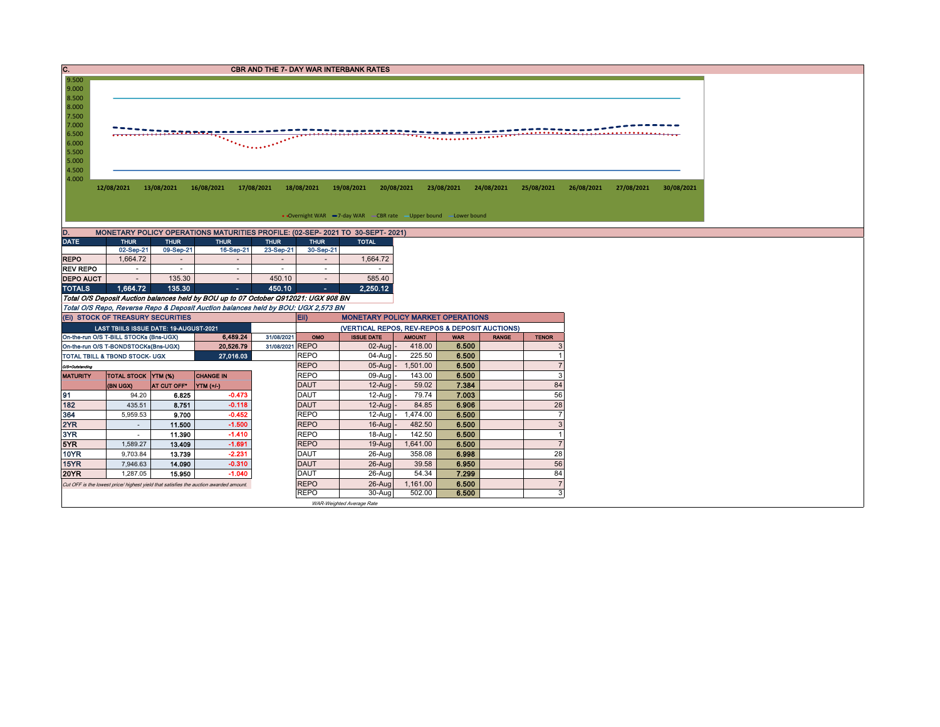| C.                                                |                                                                                                                                                                                                                                                                                                         |                  |                                                                                     |                                    |                            | <b>CBR AND THE 7- DAY WAR INTERBANK RATES</b>  |            |              |                |  |                                  |  |  |  |  |
|---------------------------------------------------|---------------------------------------------------------------------------------------------------------------------------------------------------------------------------------------------------------------------------------------------------------------------------------------------------------|------------------|-------------------------------------------------------------------------------------|------------------------------------|----------------------------|------------------------------------------------|------------|--------------|----------------|--|----------------------------------|--|--|--|--|
| 9.500<br>9.000                                    |                                                                                                                                                                                                                                                                                                         |                  |                                                                                     |                                    |                            |                                                |            |              |                |  |                                  |  |  |  |  |
| 8.500                                             |                                                                                                                                                                                                                                                                                                         |                  |                                                                                     |                                    |                            |                                                |            |              |                |  |                                  |  |  |  |  |
| 8.000                                             |                                                                                                                                                                                                                                                                                                         |                  |                                                                                     |                                    |                            |                                                |            |              |                |  |                                  |  |  |  |  |
| 7.500                                             |                                                                                                                                                                                                                                                                                                         |                  |                                                                                     |                                    |                            |                                                |            |              |                |  |                                  |  |  |  |  |
| 7.000                                             | <u> 22 mes mi</u>                                                                                                                                                                                                                                                                                       |                  |                                                                                     |                                    |                            |                                                |            |              |                |  |                                  |  |  |  |  |
|                                                   | 6.500<br>,,,,,,,,,,,,,,,,,,,,,,,,,,,,,,,,,,,<br>------<br><u>The Commercial State of the Commercial State of the Commercial State of the Commercial State of the Commercial State of the Commercial State of the Commercial State of the Commercial State of the Commercial State of the C</u><br>6.000 |                  |                                                                                     |                                    |                            |                                                |            |              |                |  |                                  |  |  |  |  |
| 5.500                                             |                                                                                                                                                                                                                                                                                                         |                  |                                                                                     |                                    |                            |                                                |            |              |                |  |                                  |  |  |  |  |
| 5.000                                             |                                                                                                                                                                                                                                                                                                         |                  |                                                                                     |                                    |                            |                                                |            |              |                |  |                                  |  |  |  |  |
| 4.500                                             |                                                                                                                                                                                                                                                                                                         |                  |                                                                                     |                                    |                            |                                                |            |              |                |  |                                  |  |  |  |  |
|                                                   | 4.000<br>12/08/2021<br>13/08/2021<br>16/08/2021<br>17/08/2021<br>18/08/2021<br>19/08/2021<br>20/08/2021<br>23/08/2021<br>24/08/2021<br>25/08/2021<br>26/08/2021<br>27/08/2021<br>30/08/2021                                                                                                             |                  |                                                                                     |                                    |                            |                                                |            |              |                |  |                                  |  |  |  |  |
|                                                   |                                                                                                                                                                                                                                                                                                         |                  |                                                                                     |                                    |                            |                                                |            |              |                |  |                                  |  |  |  |  |
|                                                   |                                                                                                                                                                                                                                                                                                         |                  |                                                                                     |                                    |                            |                                                |            |              |                |  |                                  |  |  |  |  |
|                                                   | • Overnight WAR -7-day WAR - CBR rate - Upper bound - Lower bound                                                                                                                                                                                                                                       |                  |                                                                                     |                                    |                            |                                                |            |              |                |  |                                  |  |  |  |  |
| D.                                                | MONETARY POLICY OPERATIONS MATURITIES PROFILE: (02-SEP- 2021 TO 30-SEPT- 2021)                                                                                                                                                                                                                          |                  |                                                                                     |                                    |                            |                                                |            |              |                |  |                                  |  |  |  |  |
| <b>DATE</b>                                       | <b>THUR</b>                                                                                                                                                                                                                                                                                             | <b>THUR</b>      | <b>THUR</b>                                                                         | <b>THUR</b>                        | <b>THUR</b>                | <b>TOTAL</b>                                   |            |              |                |  |                                  |  |  |  |  |
|                                                   | 02-Sep-21                                                                                                                                                                                                                                                                                               | 09-Sep-21        | 16-Sep-21                                                                           | 23-Sep-21                          | 30-Sep-21                  |                                                |            |              |                |  |                                  |  |  |  |  |
| <b>REPO</b>                                       | 1,664.72                                                                                                                                                                                                                                                                                                | $\sim$           |                                                                                     |                                    |                            | 1,664.72                                       |            |              |                |  |                                  |  |  |  |  |
| <b>REV REPO</b><br><b>DEPO AUCT</b>               | $\overline{\phantom{a}}$<br>$\sim$                                                                                                                                                                                                                                                                      | $\sim$<br>135.30 | $\sim$<br>$\sim$                                                                    | $\overline{\phantom{a}}$<br>450.10 | $\sim$<br>$\sim$           | 585.40                                         |            |              |                |  |                                  |  |  |  |  |
| <b>TOTALS</b>                                     | 1.664.72                                                                                                                                                                                                                                                                                                | 135.30           | $\sim$                                                                              | 450.10                             |                            | 2.250.12                                       |            |              |                |  |                                  |  |  |  |  |
|                                                   |                                                                                                                                                                                                                                                                                                         |                  | Total O/S Deposit Auction balances held by BOU up to 07 October Q912021: UGX 908 BN |                                    |                            |                                                |            |              |                |  |                                  |  |  |  |  |
|                                                   |                                                                                                                                                                                                                                                                                                         |                  | Total O/S Repo, Reverse Repo & Deposit Auction balances held by BOU: UGX 2,573 BN   |                                    |                            |                                                |            |              |                |  |                                  |  |  |  |  |
|                                                   | (EI) STOCK OF TREASURY SECURITIES                                                                                                                                                                                                                                                                       |                  |                                                                                     |                                    | Eii)                       | <b>MONETARY POLICY MARKET OPERATIONS</b>       |            |              |                |  |                                  |  |  |  |  |
|                                                   | LAST TBIILS ISSUE DATE: 19-AUGUST-2021                                                                                                                                                                                                                                                                  |                  |                                                                                     |                                    |                            | (VERTICAL REPOS, REV-REPOS & DEPOSIT AUCTIONS) |            |              |                |  |                                  |  |  |  |  |
|                                                   | On-the-run O/S T-BILL STOCKs (Bns-UGX)                                                                                                                                                                                                                                                                  |                  | 31/08/2021                                                                          | OMO                                | <b>ISSUE DATE</b>          | <b>AMOUNT</b>                                  | <b>WAR</b> | <b>RANGE</b> | <b>TENOR</b>   |  |                                  |  |  |  |  |
| On-the-run O/S T-BONDSTOCKs(Bns-UGX)<br>20,526.79 |                                                                                                                                                                                                                                                                                                         |                  |                                                                                     | 31/08/2021 REPO                    |                            | $02$ -Aug                                      |            | 418.00       | 6.500          |  |                                  |  |  |  |  |
|                                                   | TOTAL TBILL & TBOND STOCK- UGX                                                                                                                                                                                                                                                                          |                  | 27,016.03                                                                           |                                    | <b>REPO</b>                | 04-Aug                                         |            | 225.50       | 6.500          |  | $\overline{7}$                   |  |  |  |  |
| O/S=Outstanding                                   | TOTAL STOCK YTM (%)                                                                                                                                                                                                                                                                                     |                  | <b>CHANGE IN</b>                                                                    | <b>REPO</b><br><b>REPO</b>         |                            | $05-Auq$<br>09-Augl                            | 1,501.00   | 143.00       | 6.500<br>6.500 |  | 3                                |  |  |  |  |
| <b>MATURITY</b>                                   | (BN UGX)                                                                                                                                                                                                                                                                                                | AT CUT OFF*      | YTM (+/-)                                                                           |                                    | <b>DAUT</b>                | $12-Auq$                                       |            | 59.02        | 7.384          |  | 84                               |  |  |  |  |
| 91                                                | 94.20                                                                                                                                                                                                                                                                                                   | 6.825            | $-0.473$                                                                            |                                    | <b>DAUT</b>                | 12-Aug                                         |            | 79.74        | 7.003          |  | 56                               |  |  |  |  |
| 182                                               | 435.51                                                                                                                                                                                                                                                                                                  | 8.751            | $-0.118$                                                                            |                                    | <b>DAUT</b>                | 12-Aug                                         |            | 84.85        | 6.906          |  | 28                               |  |  |  |  |
| 364                                               | 5,959.53                                                                                                                                                                                                                                                                                                | 9.700            | $-0.452$                                                                            |                                    | <b>REPO</b>                | $12$ -Aug                                      | 1,474.00   |              | 6.500          |  | $\overline{7}$                   |  |  |  |  |
| 2YR                                               | ÷.                                                                                                                                                                                                                                                                                                      | 11.500           | $-1.500$                                                                            |                                    | <b>REPO</b>                | 16-Aug                                         |            | 482.50       | 6.500          |  | 3                                |  |  |  |  |
| 3YR                                               | $\sim$                                                                                                                                                                                                                                                                                                  | 11.390           | $-1.410$                                                                            |                                    | <b>REPO</b>                | 18-Aug                                         |            | 142.50       | 6.500          |  |                                  |  |  |  |  |
| 5YR                                               | 1,589.27                                                                                                                                                                                                                                                                                                | 13.409           | $-1.691$                                                                            |                                    | <b>REPO</b>                | 19-Aug                                         |            | 1,641.00     | 6.500          |  | $\overline{7}$                   |  |  |  |  |
| <b>10YR</b>                                       | 9,703.84                                                                                                                                                                                                                                                                                                | 13.739           | $-2.231$                                                                            |                                    | <b>DAUT</b>                | 26-Aug                                         |            | 358.08       | 6.998          |  | 28                               |  |  |  |  |
| <b>15YR</b>                                       | 7,946.63                                                                                                                                                                                                                                                                                                | 14.090           | $-0.310$                                                                            |                                    | <b>DAUT</b>                | $26$ -Aug                                      |            | 39.58        | 6.950          |  | 56                               |  |  |  |  |
| <b>20YR</b>                                       | 1,287.05                                                                                                                                                                                                                                                                                                | 15.950           | $-1.040$                                                                            |                                    | <b>DAUT</b>                | 26-Aug                                         |            | 54.34        | 7.299          |  | 84                               |  |  |  |  |
|                                                   | Cut OFF is the lowest price/ highest yield that satisfies the auction awarded amount.                                                                                                                                                                                                                   |                  |                                                                                     |                                    | <b>REPO</b><br><b>REPO</b> | 26-Aug                                         |            | 1,161.00     | 6.500          |  | $\overline{7}$<br>3 <sup>1</sup> |  |  |  |  |
|                                                   |                                                                                                                                                                                                                                                                                                         |                  |                                                                                     |                                    |                            | 30-Aug                                         |            | 502.00       | 6.500          |  |                                  |  |  |  |  |
|                                                   |                                                                                                                                                                                                                                                                                                         |                  |                                                                                     |                                    |                            | WAR-Weighted Average Rate                      |            |              |                |  |                                  |  |  |  |  |